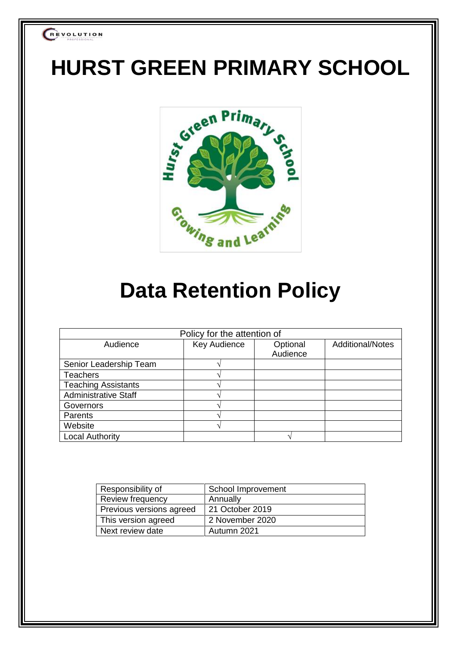

# **HURST GREEN PRIMARY SCHOOL**



## **Data Retention Policy**

| Policy for the attention of |                     |          |                         |  |  |  |  |
|-----------------------------|---------------------|----------|-------------------------|--|--|--|--|
| Audience                    | <b>Key Audience</b> | Optional | <b>Additional/Notes</b> |  |  |  |  |
|                             |                     | Audience |                         |  |  |  |  |
| Senior Leadership Team      |                     |          |                         |  |  |  |  |
| <b>Teachers</b>             |                     |          |                         |  |  |  |  |
| <b>Teaching Assistants</b>  |                     |          |                         |  |  |  |  |
| <b>Administrative Staff</b> |                     |          |                         |  |  |  |  |
| Governors                   |                     |          |                         |  |  |  |  |
| Parents                     |                     |          |                         |  |  |  |  |
| Website                     |                     |          |                         |  |  |  |  |
| <b>Local Authority</b>      |                     |          |                         |  |  |  |  |

| Responsibility of        | School Improvement |
|--------------------------|--------------------|
| Review frequency         | Annually           |
| Previous versions agreed | 21 October 2019    |
| This version agreed      | 2 November 2020    |
| Next review date         | Autumn 2021        |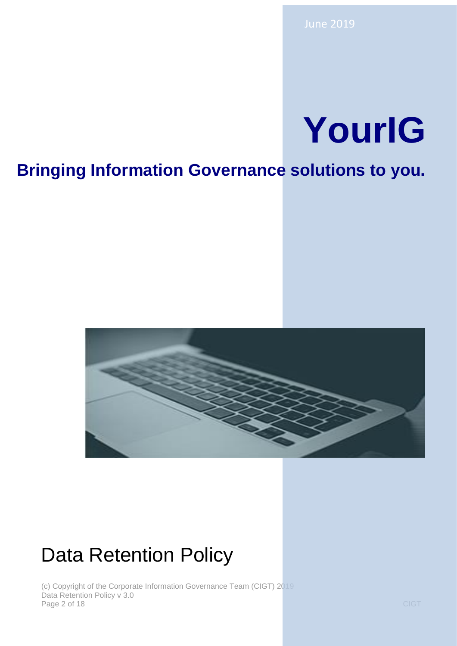# **YourIG**

## **Bringing Information Governance solutions to you.**



## Data Retention Policy

(c) Copyright of the Corporate Information Governance Team (CIGT) 2019 Data Retention Policy v 3.0 Page 2 of 18 CIGT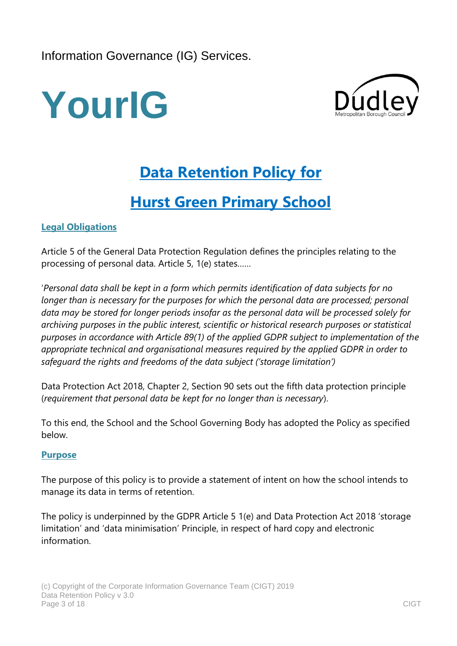Information Governance (IG) Services.





## **Data Retention Policy for**

### **Hurst Green Primary School**

#### **Legal Obligations**

Article 5 of the General Data Protection Regulation defines the principles relating to the processing of personal data. Article 5, 1(e) states……

'*Personal data shall be kept in a form which permits identification of data subjects for no longer than is necessary for the purposes for which the personal data are processed; personal data may be stored for longer periods insofar as the personal data will be processed solely for archiving purposes in the public interest, scientific or historical research purposes or statistical purposes in accordance with Article 89(1) of the applied GDPR subject to implementation of the appropriate technical and organisational measures required by the applied GDPR in order to safeguard the rights and freedoms of the data subject ('storage limitation')*

Data Protection Act 2018, Chapter 2, Section 90 sets out the fifth data protection principle (*requirement that personal data be kept for no longer than is necessary*).

To this end, the School and the School Governing Body has adopted the Policy as specified below.

#### **Purpose**

The purpose of this policy is to provide a statement of intent on how the school intends to manage its data in terms of retention.

The policy is underpinned by the GDPR Article 5 1(e) and Data Protection Act 2018 'storage limitation' and 'data minimisation' Principle, in respect of hard copy and electronic information.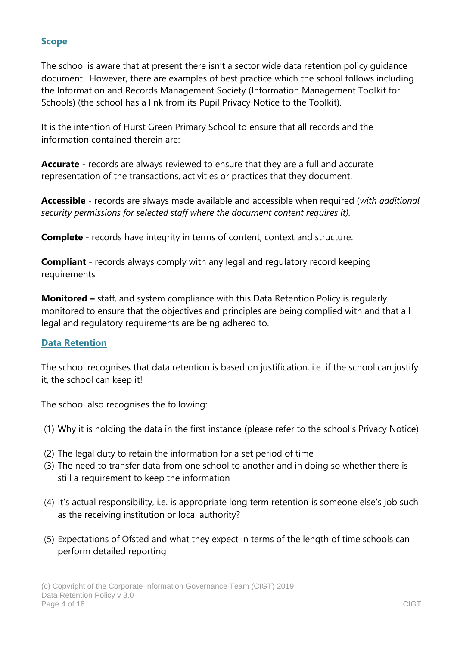#### **Scope**

The school is aware that at present there isn't a sector wide data retention policy guidance document. However, there are examples of best practice which the school follows including the Information and Records Management Society (Information Management Toolkit for Schools) (the school has a link from its Pupil Privacy Notice to the Toolkit).

It is the intention of Hurst Green Primary School to ensure that all records and the information contained therein are:

**Accurate** - records are always reviewed to ensure that they are a full and accurate representation of the transactions, activities or practices that they document.

**Accessible** - records are always made available and accessible when required (*with additional security permissions for selected staff where the document content requires it).*

**Complete** - records have integrity in terms of content, context and structure.

**Compliant** - records always comply with any legal and regulatory record keeping requirements

**Monitored –** staff, and system compliance with this Data Retention Policy is regularly monitored to ensure that the objectives and principles are being complied with and that all legal and regulatory requirements are being adhered to.

#### **Data Retention**

The school recognises that data retention is based on justification, i.e. if the school can justify it, the school can keep it!

The school also recognises the following:

- (1) Why it is holding the data in the first instance (please refer to the school's Privacy Notice)
- (2) The legal duty to retain the information for a set period of time
- (3) The need to transfer data from one school to another and in doing so whether there is still a requirement to keep the information
- (4) It's actual responsibility, i.e. is appropriate long term retention is someone else's job such as the receiving institution or local authority?
- (5) Expectations of Ofsted and what they expect in terms of the length of time schools can perform detailed reporting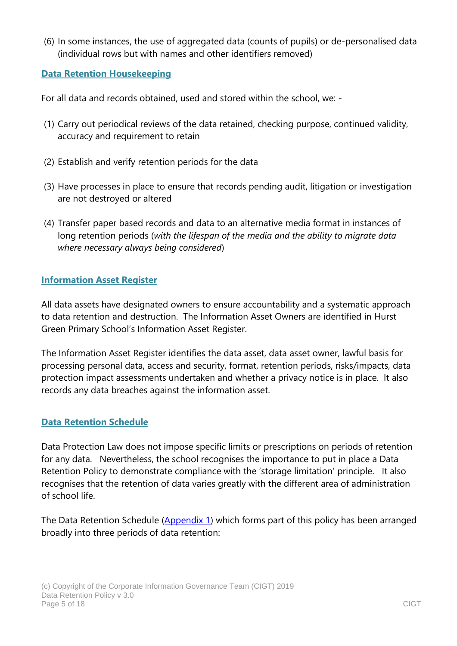(6) In some instances, the use of aggregated data (counts of pupils) or de-personalised data (individual rows but with names and other identifiers removed)

#### **Data Retention Housekeeping**

For all data and records obtained, used and stored within the school, we: -

- (1) Carry out periodical reviews of the data retained, checking purpose, continued validity, accuracy and requirement to retain
- (2) Establish and verify retention periods for the data
- (3) Have processes in place to ensure that records pending audit, litigation or investigation are not destroyed or altered
- (4) Transfer paper based records and data to an alternative media format in instances of long retention periods (*with the lifespan of the media and the ability to migrate data where necessary always being considered*)

#### **Information Asset Register**

All data assets have designated owners to ensure accountability and a systematic approach to data retention and destruction. The Information Asset Owners are identified in Hurst Green Primary School's Information Asset Register.

The Information Asset Register identifies the data asset, data asset owner, lawful basis for processing personal data, access and security, format, retention periods, risks/impacts, data protection impact assessments undertaken and whether a privacy notice is in place. It also records any data breaches against the information asset.

#### **Data Retention Schedule**

Data Protection Law does not impose specific limits or prescriptions on periods of retention for any data. Nevertheless, the school recognises the importance to put in place a Data Retention Policy to demonstrate compliance with the 'storage limitation' principle. It also recognises that the retention of data varies greatly with the different area of administration of school life.

The Data Retention Schedule [\(Appendix 1\)](#page-7-0) which forms part of this policy has been arranged broadly into three periods of data retention: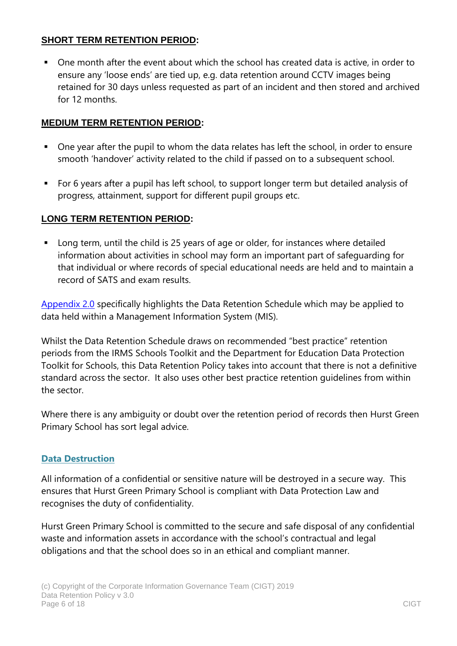#### **[SHORT TERM RETENTION](#page-7-1) PERIOD:**

 One month after the event about which the school has created data is active, in order to ensure any 'loose ends' are tied up, e.g. data retention around CCTV images being retained for 30 days unless requested as part of an incident and then stored and archived for 12 months.

#### **[MEDIUM TERM RETENTION PERIOD:](#page-8-0)**

- One year after the pupil to whom the data relates has left the school, in order to ensure smooth 'handover' activity related to the child if passed on to a subsequent school.
- For 6 years after a pupil has left school, to support longer term but detailed analysis of progress, attainment, support for different pupil groups etc.

#### **[LONG TERM RETENTION PERIOD:](#page-12-0)**

 Long term, until the child is 25 years of age or older, for instances where detailed information about activities in school may form an important part of safeguarding for that individual or where records of special educational needs are held and to maintain a record of SATS and exam results.

Appendix 2.0 specifically highlights the Data Retention Schedule which may be applied to data held within a Management Information System (MIS).

Whilst the Data Retention Schedule draws on recommended "best practice" retention periods from the IRMS Schools Toolkit and the Department for Education Data Protection Toolkit for Schools, this Data Retention Policy takes into account that there is not a definitive standard across the sector. It also uses other best practice retention guidelines from within the sector.

Where there is any ambiguity or doubt over the retention period of records then Hurst Green Primary School has sort legal advice.

#### **Data Destruction**

All information of a confidential or sensitive nature will be destroyed in a secure way. This ensures that Hurst Green Primary School is compliant with Data Protection Law and recognises the duty of confidentiality.

Hurst Green Primary School is committed to the secure and safe disposal of any confidential waste and information assets in accordance with the school's contractual and legal obligations and that the school does so in an ethical and compliant manner.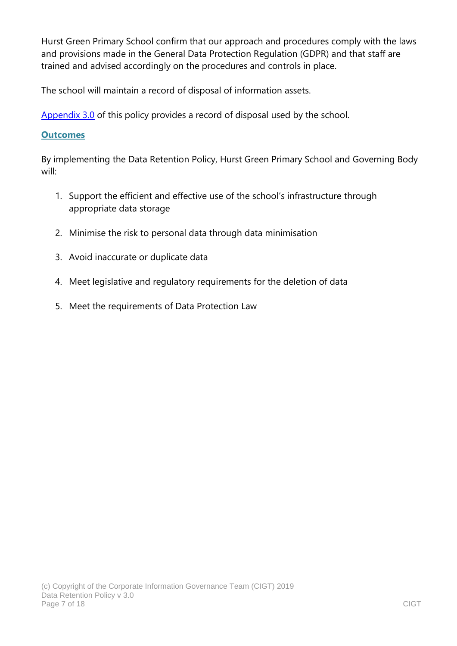Hurst Green Primary School confirm that our approach and procedures comply with the laws and provisions made in the General Data Protection Regulation (GDPR) and that staff are trained and advised accordingly on the procedures and controls in place.

The school will maintain a record of disposal of information assets.

[Appendix 3.0](#page-17-0) of this policy provides a record of disposal used by the school.

#### **Outcomes**

By implementing the Data Retention Policy, Hurst Green Primary School and Governing Body will:

- 1. Support the efficient and effective use of the school's infrastructure through appropriate data storage
- 2. Minimise the risk to personal data through data minimisation
- 3. Avoid inaccurate or duplicate data
- 4. Meet legislative and regulatory requirements for the deletion of data
- 5. Meet the requirements of Data Protection Law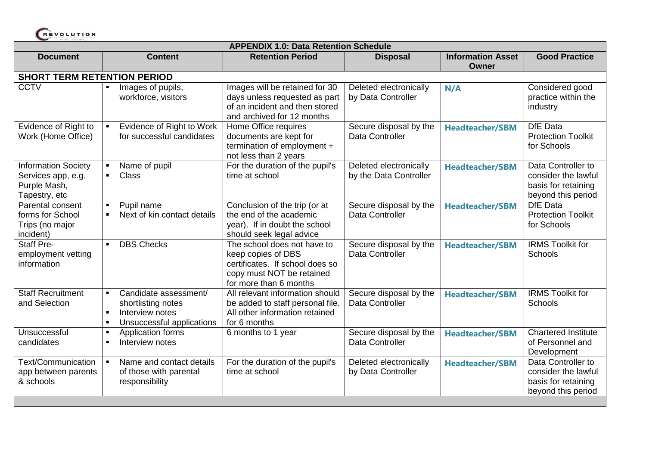

<span id="page-7-1"></span><span id="page-7-0"></span>

| <b>APPENDIX 1.0: Data Retention Schedule</b>                                      |                                                                                                  |                                                                                                                                             |                                                  |                                          |                                                                                        |  |  |
|-----------------------------------------------------------------------------------|--------------------------------------------------------------------------------------------------|---------------------------------------------------------------------------------------------------------------------------------------------|--------------------------------------------------|------------------------------------------|----------------------------------------------------------------------------------------|--|--|
| <b>Document</b>                                                                   | <b>Content</b>                                                                                   | <b>Retention Period</b>                                                                                                                     | <b>Disposal</b>                                  | <b>Information Asset</b><br><b>Owner</b> | <b>Good Practice</b>                                                                   |  |  |
| <b>SHORT TERM RETENTION PERIOD</b>                                                |                                                                                                  |                                                                                                                                             |                                                  |                                          |                                                                                        |  |  |
| <b>CCTV</b>                                                                       | Images of pupils,<br>workforce, visitors                                                         | Images will be retained for 30<br>days unless requested as part<br>of an incident and then stored<br>and archived for 12 months             | Deleted electronically<br>by Data Controller     | N/A                                      | Considered good<br>practice within the<br>industry                                     |  |  |
| Evidence of Right to<br>Work (Home Office)                                        | Evidence of Right to Work<br>for successful candidates                                           | Home Office requires<br>documents are kept for<br>termination of employment +<br>not less than 2 years                                      | Secure disposal by the<br>Data Controller        | <b>Headteacher/SBM</b>                   | <b>DfE</b> Data<br><b>Protection Toolkit</b><br>for Schools                            |  |  |
| <b>Information Society</b><br>Services app, e.g.<br>Purple Mash,<br>Tapestry, etc | Name of pupil<br>$\blacksquare$<br><b>Class</b>                                                  | For the duration of the pupil's<br>time at school                                                                                           | Deleted electronically<br>by the Data Controller | <b>Headteacher/SBM</b>                   | Data Controller to<br>consider the lawful<br>basis for retaining<br>beyond this period |  |  |
| Parental consent<br>forms for School<br>Trips (no major<br>incident)              | Pupil name<br>$\blacksquare$<br>Next of kin contact details                                      | Conclusion of the trip (or at<br>the end of the academic<br>year). If in doubt the school<br>should seek legal advice                       | Secure disposal by the<br>Data Controller        | <b>Headteacher/SBM</b>                   | <b>DfE</b> Data<br><b>Protection Toolkit</b><br>for Schools                            |  |  |
| <b>Staff Pre-</b><br>employment vetting<br>information                            | <b>DBS Checks</b>                                                                                | The school does not have to<br>keep copies of DBS<br>certificates. If school does so<br>copy must NOT be retained<br>for more than 6 months | Secure disposal by the<br>Data Controller        | <b>Headteacher/SBM</b>                   | <b>IRMS Toolkit for</b><br>Schools                                                     |  |  |
| <b>Staff Recruitment</b><br>and Selection                                         | Candidate assessment/<br>shortlisting notes<br>Interview notes<br>Unsuccessful applications<br>× | All relevant information should<br>be added to staff personal file.<br>All other information retained<br>for 6 months                       | Secure disposal by the<br>Data Controller        | <b>Headteacher/SBM</b>                   | <b>IRMS Toolkit for</b><br>Schools                                                     |  |  |
| Unsuccessful<br>candidates                                                        | Application forms<br>×<br>Interview notes                                                        | 6 months to 1 year                                                                                                                          | Secure disposal by the<br>Data Controller        | <b>Headteacher/SBM</b>                   | <b>Chartered Institute</b><br>of Personnel and<br>Development                          |  |  |
| Text/Communication<br>app between parents<br>& schools                            | Name and contact details<br>of those with parental<br>responsibility                             | For the duration of the pupil's<br>time at school                                                                                           | Deleted electronically<br>by Data Controller     | <b>Headteacher/SBM</b>                   | Data Controller to<br>consider the lawful<br>basis for retaining<br>beyond this period |  |  |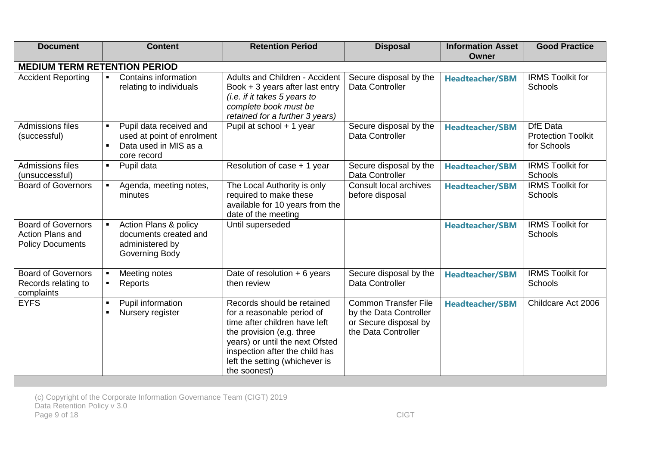<span id="page-8-0"></span>

| <b>Document</b>                                                                 | <b>Content</b>                                                                                | <b>Retention Period</b>                                                                                                                                                                                                                       | <b>Disposal</b>                                                                                       | <b>Information Asset</b><br>Owner | <b>Good Practice</b>                                        |  |  |  |
|---------------------------------------------------------------------------------|-----------------------------------------------------------------------------------------------|-----------------------------------------------------------------------------------------------------------------------------------------------------------------------------------------------------------------------------------------------|-------------------------------------------------------------------------------------------------------|-----------------------------------|-------------------------------------------------------------|--|--|--|
| <b>MEDIUM TERM RETENTION PERIOD</b>                                             |                                                                                               |                                                                                                                                                                                                                                               |                                                                                                       |                                   |                                                             |  |  |  |
| <b>Accident Reporting</b>                                                       | Contains information<br>relating to individuals                                               | <b>Adults and Children - Accident</b><br>Book $+3$ years after last entry<br>$(i.e.$ if it takes 5 years to<br>complete book must be<br>retained for a further 3 years)                                                                       | Secure disposal by the<br>Data Controller                                                             | <b>Headteacher/SBM</b>            | <b>IRMS Toolkit for</b><br>Schools                          |  |  |  |
| Admissions files<br>(successful)                                                | Pupil data received and<br>used at point of enrolment<br>Data used in MIS as a<br>core record | Pupil at school + 1 year                                                                                                                                                                                                                      | Secure disposal by the<br>Data Controller                                                             | <b>Headteacher/SBM</b>            | <b>DfE</b> Data<br><b>Protection Toolkit</b><br>for Schools |  |  |  |
| Admissions files<br>(unsuccessful)                                              | Pupil data                                                                                    | Resolution of case + 1 year                                                                                                                                                                                                                   | Secure disposal by the<br>Data Controller                                                             | <b>Headteacher/SBM</b>            | <b>IRMS Toolkit for</b><br>Schools                          |  |  |  |
| <b>Board of Governors</b>                                                       | Agenda, meeting notes,<br>minutes                                                             | The Local Authority is only<br>required to make these<br>available for 10 years from the<br>date of the meeting                                                                                                                               | Consult local archives<br>before disposal                                                             | <b>Headteacher/SBM</b>            | <b>IRMS Toolkit for</b><br>Schools                          |  |  |  |
| <b>Board of Governors</b><br><b>Action Plans and</b><br><b>Policy Documents</b> | Action Plans & policy<br>documents created and<br>administered by<br>Governing Body           | Until superseded                                                                                                                                                                                                                              |                                                                                                       | <b>Headteacher/SBM</b>            | <b>IRMS Toolkit for</b><br>Schools                          |  |  |  |
| Board of Governors<br>Records relating to<br>complaints                         | Meeting notes<br>Reports                                                                      | Date of resolution $+ 6$ years<br>then review                                                                                                                                                                                                 | Secure disposal by the<br>Data Controller                                                             | <b>Headteacher/SBM</b>            | <b>IRMS Toolkit for</b><br>Schools                          |  |  |  |
| <b>EYFS</b>                                                                     | Pupil information<br>Nursery register                                                         | Records should be retained<br>for a reasonable period of<br>time after children have left<br>the provision (e.g. three<br>years) or until the next Ofsted<br>inspection after the child has<br>left the setting (whichever is<br>the soonest) | <b>Common Transfer File</b><br>by the Data Controller<br>or Secure disposal by<br>the Data Controller | <b>Headteacher/SBM</b>            | Childcare Act 2006                                          |  |  |  |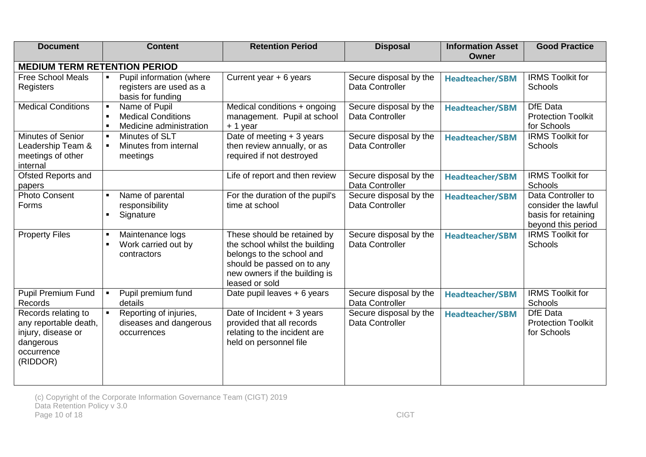| <b>Document</b>                                                                                           | <b>Content</b>                                                                | <b>Retention Period</b>                                                                                                                                                     | <b>Disposal</b>                           | <b>Information Asset</b><br><b>Owner</b> | <b>Good Practice</b>                                                                   |
|-----------------------------------------------------------------------------------------------------------|-------------------------------------------------------------------------------|-----------------------------------------------------------------------------------------------------------------------------------------------------------------------------|-------------------------------------------|------------------------------------------|----------------------------------------------------------------------------------------|
| <b>MEDIUM TERM RETENTION PERIOD</b>                                                                       |                                                                               |                                                                                                                                                                             |                                           |                                          |                                                                                        |
| <b>Free School Meals</b><br>Registers                                                                     | Pupil information (where<br>registers are used as a<br>basis for funding      | Current year $+ 6$ years                                                                                                                                                    | Secure disposal by the<br>Data Controller | <b>Headteacher/SBM</b>                   | <b>IRMS Toolkit for</b><br><b>Schools</b>                                              |
| <b>Medical Conditions</b>                                                                                 | Name of Pupil<br><b>Medical Conditions</b><br>Medicine administration         | Medical conditions + ongoing<br>management. Pupil at school<br>+ 1 year                                                                                                     | Secure disposal by the<br>Data Controller | <b>Headteacher/SBM</b>                   | DfE Data<br><b>Protection Toolkit</b><br>for Schools                                   |
| Minutes of Senior<br>Leadership Team &<br>meetings of other<br>internal                                   | Minutes of SLT<br>Minutes from internal<br>meetings                           | Date of meeting + 3 years<br>then review annually, or as<br>required if not destroyed                                                                                       | Secure disposal by the<br>Data Controller | <b>Headteacher/SBM</b>                   | <b>IRMS Toolkit for</b><br>Schools                                                     |
| Ofsted Reports and<br>papers                                                                              |                                                                               | Life of report and then review                                                                                                                                              | Secure disposal by the<br>Data Controller | <b>Headteacher/SBM</b>                   | <b>IRMS Toolkit for</b><br>Schools                                                     |
| <b>Photo Consent</b><br>Forms                                                                             | Name of parental<br>responsibility<br>Signature                               | For the duration of the pupil's<br>time at school                                                                                                                           | Secure disposal by the<br>Data Controller | <b>Headteacher/SBM</b>                   | Data Controller to<br>consider the lawful<br>basis for retaining<br>beyond this period |
| <b>Property Files</b>                                                                                     | Maintenance logs<br>$\blacksquare$<br>Work carried out by<br>п<br>contractors | These should be retained by<br>the school whilst the building<br>belongs to the school and<br>should be passed on to any<br>new owners if the building is<br>leased or sold | Secure disposal by the<br>Data Controller | <b>Headteacher/SBM</b>                   | <b>IRMS Toolkit for</b><br>Schools                                                     |
| <b>Pupil Premium Fund</b><br>Records                                                                      | Pupil premium fund<br>details                                                 | Date pupil leaves + 6 years                                                                                                                                                 | Secure disposal by the<br>Data Controller | <b>Headteacher/SBM</b>                   | <b>IRMS Toolkit for</b><br>Schools                                                     |
| Records relating to<br>any reportable death,<br>injury, disease or<br>dangerous<br>occurrence<br>(RIDDOR) | Reporting of injuries,<br>diseases and dangerous<br>occurrences               | Date of Incident $+3$ years<br>provided that all records<br>relating to the incident are<br>held on personnel file                                                          | Secure disposal by the<br>Data Controller | <b>Headteacher/SBM</b>                   | <b>DfE</b> Data<br><b>Protection Toolkit</b><br>for Schools                            |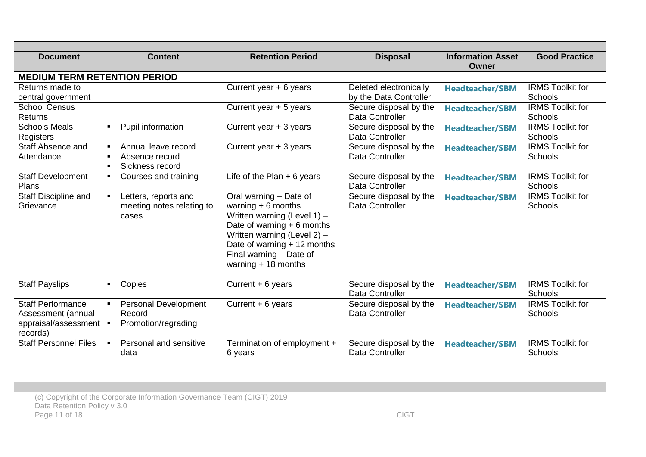| <b>Document</b>                                                                    | <b>Content</b>                                                                 | <b>Retention Period</b>                                                                                                                                                                                                              | <b>Disposal</b>                                  | <b>Information Asset</b><br>Owner | <b>Good Practice</b>                      |
|------------------------------------------------------------------------------------|--------------------------------------------------------------------------------|--------------------------------------------------------------------------------------------------------------------------------------------------------------------------------------------------------------------------------------|--------------------------------------------------|-----------------------------------|-------------------------------------------|
| <b>MEDIUM TERM RETENTION PERIOD</b>                                                |                                                                                |                                                                                                                                                                                                                                      |                                                  |                                   |                                           |
| Returns made to<br>central government                                              |                                                                                | Current year + 6 years                                                                                                                                                                                                               | Deleted electronically<br>by the Data Controller | <b>Headteacher/SBM</b>            | <b>IRMS Toolkit for</b><br><b>Schools</b> |
| <b>School Census</b><br><b>Returns</b>                                             |                                                                                | Current year $+5$ years                                                                                                                                                                                                              | Secure disposal by the<br>Data Controller        | <b>Headteacher/SBM</b>            | <b>IRMS Toolkit for</b><br>Schools        |
| <b>Schools Meals</b><br>Registers                                                  | Pupil information<br>$\blacksquare$                                            | Current year $+3$ years                                                                                                                                                                                                              | Secure disposal by the<br>Data Controller        | <b>Headteacher/SBM</b>            | <b>IRMS Toolkit for</b><br>Schools        |
| Staff Absence and<br>Attendance                                                    | Annual leave record<br>$\blacksquare$<br>Absence record<br>Sickness record     | Current year + 3 years                                                                                                                                                                                                               | Secure disposal by the<br>Data Controller        | <b>Headteacher/SBM</b>            | <b>IRMS Toolkit for</b><br>Schools        |
| <b>Staff Development</b><br><b>Plans</b>                                           | Courses and training<br>$\blacksquare$                                         | Life of the Plan $+6$ years                                                                                                                                                                                                          | Secure disposal by the<br>Data Controller        | <b>Headteacher/SBM</b>            | <b>IRMS Toolkit for</b><br>Schools        |
| Staff Discipline and<br>Grievance                                                  | Letters, reports and<br>$\blacksquare$<br>meeting notes relating to<br>cases   | Oral warning - Date of<br>warning $+ 6$ months<br>Written warning (Level $1$ ) -<br>Date of warning $+ 6$ months<br>Written warning (Level $2$ ) –<br>Date of warning + 12 months<br>Final warning - Date of<br>warning $+18$ months | Secure disposal by the<br>Data Controller        | <b>Headteacher/SBM</b>            | <b>IRMS Toolkit for</b><br>Schools        |
| <b>Staff Payslips</b>                                                              | Copies<br>$\blacksquare$                                                       | Current + 6 years                                                                                                                                                                                                                    | Secure disposal by the<br>Data Controller        | <b>Headteacher/SBM</b>            | <b>IRMS Toolkit for</b><br>Schools        |
| <b>Staff Performance</b><br>Assessment (annual<br>appraisal/assessment<br>records) | <b>Personal Development</b><br>$\blacksquare$<br>Record<br>Promotion/regrading | Current + 6 years                                                                                                                                                                                                                    | Secure disposal by the<br>Data Controller        | <b>Headteacher/SBM</b>            | <b>IRMS Toolkit for</b><br>Schools        |
| <b>Staff Personnel Files</b>                                                       | Personal and sensitive<br>$\blacksquare$<br>data                               | Termination of employment +<br>6 years                                                                                                                                                                                               | Secure disposal by the<br>Data Controller        | <b>Headteacher/SBM</b>            | <b>IRMS Toolkit for</b><br>Schools        |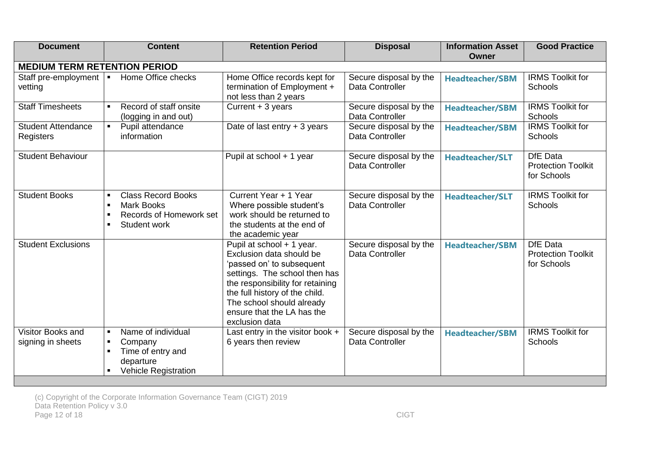| <b>Document</b>                                       | <b>Content</b>                                                                                   | <b>Retention Period</b>                                                                                                                                                                                                                                                | <b>Disposal</b>                           | <b>Information Asset</b><br><b>Owner</b> | <b>Good Practice</b>                                        |
|-------------------------------------------------------|--------------------------------------------------------------------------------------------------|------------------------------------------------------------------------------------------------------------------------------------------------------------------------------------------------------------------------------------------------------------------------|-------------------------------------------|------------------------------------------|-------------------------------------------------------------|
| <b>MEDIUM TERM RETENTION PERIOD</b>                   |                                                                                                  |                                                                                                                                                                                                                                                                        |                                           |                                          |                                                             |
| Staff pre-employment $\vert \bullet \vert$<br>vetting | Home Office checks                                                                               | Home Office records kept for<br>termination of Employment +<br>not less than 2 years                                                                                                                                                                                   | Secure disposal by the<br>Data Controller | <b>Headteacher/SBM</b>                   | <b>IRMS Toolkit for</b><br>Schools                          |
| <b>Staff Timesheets</b>                               | Record of staff onsite<br>(logging in and out)                                                   | Current + 3 years                                                                                                                                                                                                                                                      | Secure disposal by the<br>Data Controller | <b>Headteacher/SBM</b>                   | <b>IRMS Toolkit for</b><br><b>Schools</b>                   |
| <b>Student Attendance</b><br>Registers                | Pupil attendance<br>information                                                                  | Date of last entry $+3$ years                                                                                                                                                                                                                                          | Secure disposal by the<br>Data Controller | <b>Headteacher/SBM</b>                   | <b>IRMS Toolkit for</b><br><b>Schools</b>                   |
| <b>Student Behaviour</b>                              |                                                                                                  | Pupil at school + 1 year                                                                                                                                                                                                                                               | Secure disposal by the<br>Data Controller | <b>Headteacher/SLT</b>                   | <b>DfE</b> Data<br><b>Protection Toolkit</b><br>for Schools |
| <b>Student Books</b>                                  | <b>Class Record Books</b><br><b>Mark Books</b><br><b>Records of Homework set</b><br>Student work | Current Year + 1 Year<br>Where possible student's<br>work should be returned to<br>the students at the end of<br>the academic year                                                                                                                                     | Secure disposal by the<br>Data Controller | <b>Headteacher/SLT</b>                   | <b>IRMS Toolkit for</b><br>Schools                          |
| <b>Student Exclusions</b>                             |                                                                                                  | Pupil at school + 1 year.<br>Exclusion data should be<br>'passed on' to subsequent<br>settings. The school then has<br>the responsibility for retaining<br>the full history of the child.<br>The school should already<br>ensure that the LA has the<br>exclusion data | Secure disposal by the<br>Data Controller | <b>Headteacher/SBM</b>                   | <b>DfE</b> Data<br><b>Protection Toolkit</b><br>for Schools |
| Visitor Books and<br>signing in sheets                | Name of individual<br>Company<br>Time of entry and<br>departure<br><b>Vehicle Registration</b>   | Last entry in the visitor book $+$<br>6 years then review                                                                                                                                                                                                              | Secure disposal by the<br>Data Controller | <b>Headteacher/SBM</b>                   | <b>IRMS Toolkit for</b><br>Schools                          |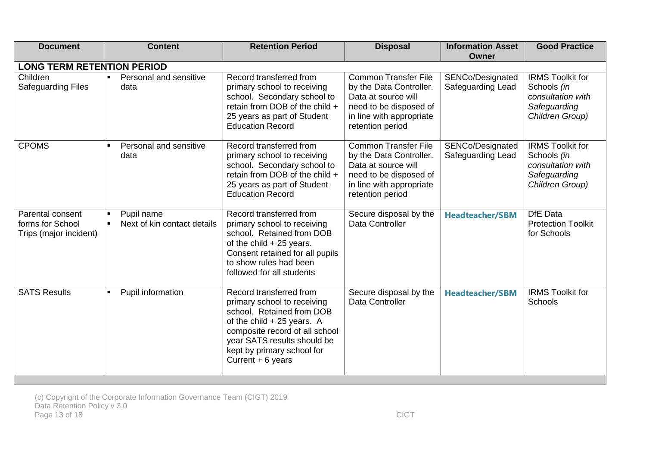<span id="page-12-0"></span>

| <b>Document</b>                                                | <b>Content</b>                            | <b>Retention Period</b>                                                                                                                                                                                                                | <b>Disposal</b>                                                                                                                                         | <b>Information Asset</b><br><b>Owner</b> | <b>Good Practice</b>                                                                           |  |  |  |
|----------------------------------------------------------------|-------------------------------------------|----------------------------------------------------------------------------------------------------------------------------------------------------------------------------------------------------------------------------------------|---------------------------------------------------------------------------------------------------------------------------------------------------------|------------------------------------------|------------------------------------------------------------------------------------------------|--|--|--|
| <b>LONG TERM RETENTION PERIOD</b>                              |                                           |                                                                                                                                                                                                                                        |                                                                                                                                                         |                                          |                                                                                                |  |  |  |
| Children<br>Safeguarding Files                                 | Personal and sensitive<br>data            | Record transferred from<br>primary school to receiving<br>school. Secondary school to<br>retain from DOB of the child +<br>25 years as part of Student<br><b>Education Record</b>                                                      | <b>Common Transfer File</b><br>by the Data Controller.<br>Data at source will<br>need to be disposed of<br>in line with appropriate<br>retention period | SENCo/Designated<br>Safeguarding Lead    | <b>IRMS Toolkit for</b><br>Schools (in<br>consultation with<br>Safeguarding<br>Children Group) |  |  |  |
| <b>CPOMS</b>                                                   | Personal and sensitive<br>data            | Record transferred from<br>primary school to receiving<br>school. Secondary school to<br>retain from DOB of the child +<br>25 years as part of Student<br><b>Education Record</b>                                                      | <b>Common Transfer File</b><br>by the Data Controller.<br>Data at source will<br>need to be disposed of<br>in line with appropriate<br>retention period | SENCo/Designated<br>Safeguarding Lead    | <b>IRMS Toolkit for</b><br>Schools (in<br>consultation with<br>Safeguarding<br>Children Group) |  |  |  |
| Parental consent<br>forms for School<br>Trips (major incident) | Pupil name<br>Next of kin contact details | Record transferred from<br>primary school to receiving<br>school. Retained from DOB<br>of the child $+25$ years.<br>Consent retained for all pupils<br>to show rules had been<br>followed for all students                             | Secure disposal by the<br>Data Controller                                                                                                               | <b>Headteacher/SBM</b>                   | DfE Data<br><b>Protection Toolkit</b><br>for Schools                                           |  |  |  |
| <b>SATS Results</b>                                            | Pupil information                         | Record transferred from<br>primary school to receiving<br>school. Retained from DOB<br>of the child $+25$ years. A<br>composite record of all school<br>year SATS results should be<br>kept by primary school for<br>Current + 6 years | Secure disposal by the<br>Data Controller                                                                                                               | <b>Headteacher/SBM</b>                   | <b>IRMS Toolkit for</b><br>Schools                                                             |  |  |  |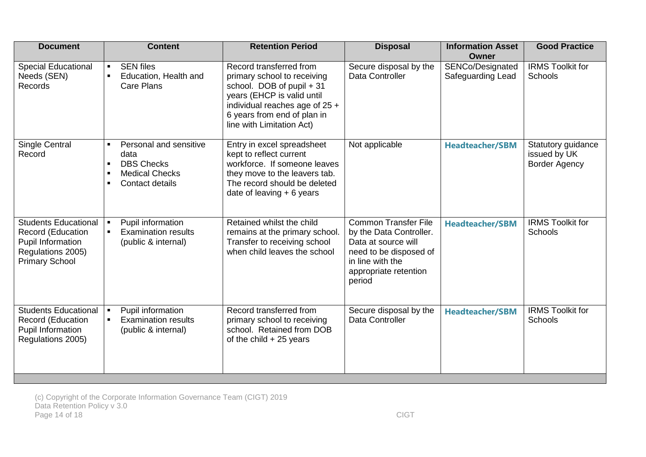| <b>Document</b>                                                                                                            | <b>Content</b>                                                                                  | <b>Retention Period</b>                                                                                                                                                                                         | <b>Disposal</b>                                                                                                                                                | <b>Information Asset</b><br><b>Owner</b> | <b>Good Practice</b>                                       |
|----------------------------------------------------------------------------------------------------------------------------|-------------------------------------------------------------------------------------------------|-----------------------------------------------------------------------------------------------------------------------------------------------------------------------------------------------------------------|----------------------------------------------------------------------------------------------------------------------------------------------------------------|------------------------------------------|------------------------------------------------------------|
| <b>Special Educational</b><br>Needs (SEN)<br>Records                                                                       | <b>SEN files</b><br>Education, Health and<br>Care Plans                                         | Record transferred from<br>primary school to receiving<br>school. DOB of pupil + 31<br>years (EHCP is valid until<br>individual reaches age of 25 +<br>6 years from end of plan in<br>line with Limitation Act) | Secure disposal by the<br>Data Controller                                                                                                                      | SENCo/Designated<br>Safeguarding Lead    | <b>IRMS Toolkit for</b><br>Schools                         |
| <b>Single Central</b><br>Record                                                                                            | Personal and sensitive<br>data<br><b>DBS Checks</b><br><b>Medical Checks</b><br>Contact details | Entry in excel spreadsheet<br>kept to reflect current<br>workforce. If someone leaves<br>they move to the leavers tab.<br>The record should be deleted<br>date of leaving $+ 6$ years                           | Not applicable                                                                                                                                                 | <b>Headteacher/SBM</b>                   | Statutory guidance<br>issued by UK<br><b>Border Agency</b> |
| <b>Students Educational</b><br><b>Record (Education</b><br>Pupil Information<br>Regulations 2005)<br><b>Primary School</b> | Pupil information<br><b>Examination results</b><br>(public & internal)                          | Retained whilst the child<br>remains at the primary school.<br>Transfer to receiving school<br>when child leaves the school                                                                                     | <b>Common Transfer File</b><br>by the Data Controller.<br>Data at source will<br>need to be disposed of<br>in line with the<br>appropriate retention<br>period | <b>Headteacher/SBM</b>                   | <b>IRMS Toolkit for</b><br>Schools                         |
| <b>Students Educational</b><br>Record (Education<br>Pupil Information<br>Regulations 2005)                                 | Pupil information<br><b>Examination results</b><br>(public & internal)                          | Record transferred from<br>primary school to receiving<br>school. Retained from DOB<br>of the child $+25$ years                                                                                                 | Secure disposal by the<br>Data Controller                                                                                                                      | <b>Headteacher/SBM</b>                   | <b>IRMS Toolkit for</b><br>Schools                         |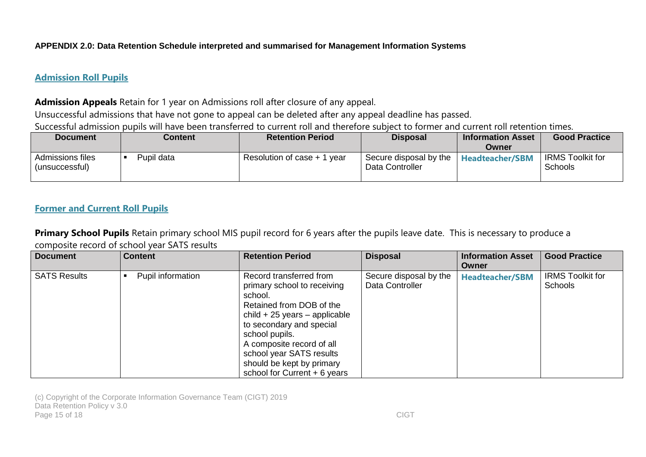#### **APPENDIX 2.0: Data Retention Schedule interpreted and summarised for Management Information Systems**

#### **Admission Roll Pupils**

#### **Admission Appeals** Retain for 1 year on Admissions roll after closure of any appeal.

Unsuccessful admissions that have not gone to appeal can be deleted after any appeal deadline has passed.

Successful admission pupils will have been transferred to current roll and therefore subject to former and current roll retention times.

| <b>Document</b>                           | Content    | <b>Retention Period</b>        | <b>Disposal</b>                           | <b>Information Asset</b><br><b>Owner</b> | <b>Good Practice</b>                      |
|-------------------------------------------|------------|--------------------------------|-------------------------------------------|------------------------------------------|-------------------------------------------|
| <b>Admissions files</b><br>(unsuccessful) | Pupil data | Resolution of case + 1<br>vear | Secure disposal by the<br>Data Controller | <b>Headteacher/SBM</b>                   | <b>IRMS Toolkit for</b><br><b>Schools</b> |

#### **Former and Current Roll Pupils**

**Primary School Pupils** Retain primary school MIS pupil record for 6 years after the pupils leave date. This is necessary to produce a composite record of school year SATS results

| <b>Document</b>     | <b>Content</b>    | <b>Retention Period</b>                                                                                                                                                                                                                                                                              | <b>Disposal</b>                           | <b>Information Asset</b><br>Owner | <b>Good Practice</b>                      |
|---------------------|-------------------|------------------------------------------------------------------------------------------------------------------------------------------------------------------------------------------------------------------------------------------------------------------------------------------------------|-------------------------------------------|-----------------------------------|-------------------------------------------|
| <b>SATS Results</b> | Pupil information | Record transferred from<br>primary school to receiving<br>school.<br>Retained from DOB of the<br>$child + 25$ years – applicable<br>to secondary and special<br>school pupils.<br>A composite record of all<br>school year SATS results<br>should be kept by primary<br>school for Current + 6 years | Secure disposal by the<br>Data Controller | <b>Headteacher/SBM</b>            | <b>IRMS Toolkit for</b><br><b>Schools</b> |

(c) Copyright of the Corporate Information Governance Team (CIGT) 2019 Data Retention Policy v 3.0 Page 15 of 18 CIGT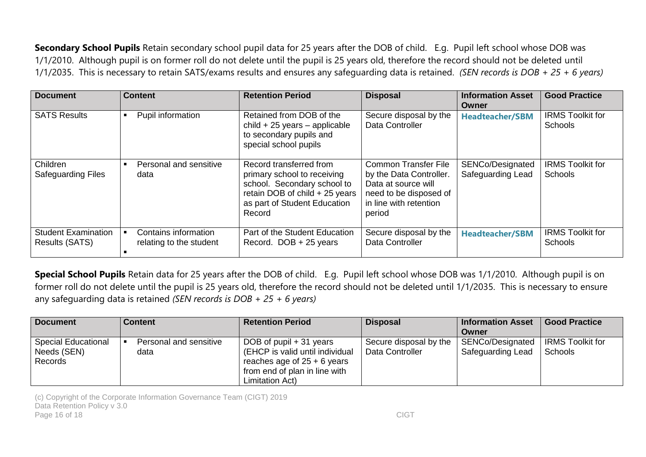**Secondary School Pupils** Retain secondary school pupil data for 25 years after the DOB of child. E.g. Pupil left school whose DOB was 1/1/2010. Although pupil is on former roll do not delete until the pupil is 25 years old, therefore the record should not be deleted until 1/1/2035. This is necessary to retain SATS/exams results and ensures any safeguarding data is retained. *(SEN records is DOB + 25 + 6 years)*

| <b>Document</b>                              | <b>Content</b>                                  | <b>Retention Period</b>                                                                                                                                           | <b>Disposal</b>                                                                                                                             | <b>Information Asset</b><br>Owner     | <b>Good Practice</b>                      |
|----------------------------------------------|-------------------------------------------------|-------------------------------------------------------------------------------------------------------------------------------------------------------------------|---------------------------------------------------------------------------------------------------------------------------------------------|---------------------------------------|-------------------------------------------|
| <b>SATS Results</b>                          | Pupil information                               | Retained from DOB of the<br>$child + 25$ years – applicable<br>to secondary pupils and<br>special school pupils                                                   | Secure disposal by the<br>Data Controller                                                                                                   | <b>Headteacher/SBM</b>                | <b>IRMS Toolkit for</b><br><b>Schools</b> |
| Children<br><b>Safeguarding Files</b>        | Personal and sensitive<br>data                  | Record transferred from<br>primary school to receiving<br>school. Secondary school to<br>retain DOB of child + 25 years<br>as part of Student Education<br>Record | <b>Common Transfer File</b><br>by the Data Controller.<br>Data at source will<br>need to be disposed of<br>in line with retention<br>period | SENCo/Designated<br>Safeguarding Lead | <b>IRMS Toolkit for</b><br>Schools        |
| <b>Student Examination</b><br>Results (SATS) | Contains information<br>relating to the student | Part of the Student Education<br>Record. DOB + 25 years                                                                                                           | Secure disposal by the<br>Data Controller                                                                                                   | <b>Headteacher/SBM</b>                | <b>IRMS Toolkit for</b><br><b>Schools</b> |

**Special School Pupils** Retain data for 25 years after the DOB of child. E.g. Pupil left school whose DOB was 1/1/2010. Although pupil is on former roll do not delete until the pupil is 25 years old, therefore the record should not be deleted until 1/1/2035. This is necessary to ensure any safeguarding data is retained *(SEN records is DOB + 25 + 6 years)*

| Document                                             | l Content                      | <b>Retention Period</b>                                                                                                                         | <b>Disposal</b>                           | <b>Information Asset</b><br>Owner     | <b>Good Practice</b>                      |
|------------------------------------------------------|--------------------------------|-------------------------------------------------------------------------------------------------------------------------------------------------|-------------------------------------------|---------------------------------------|-------------------------------------------|
| <b>Special Educational</b><br>Needs (SEN)<br>Records | Personal and sensitive<br>data | DOB of pupil + 31 years<br>(EHCP is valid until individual<br>reaches age of $25 + 6$ years<br>from end of plan in line with<br>Limitation Act) | Secure disposal by the<br>Data Controller | SENCo/Designated<br>Safeguarding Lead | <b>IRMS Toolkit for</b><br><b>Schools</b> |

(c) Copyright of the Corporate Information Governance Team (CIGT) 2019 Data Retention Policy v 3.0 Page 16 of 18 CIGT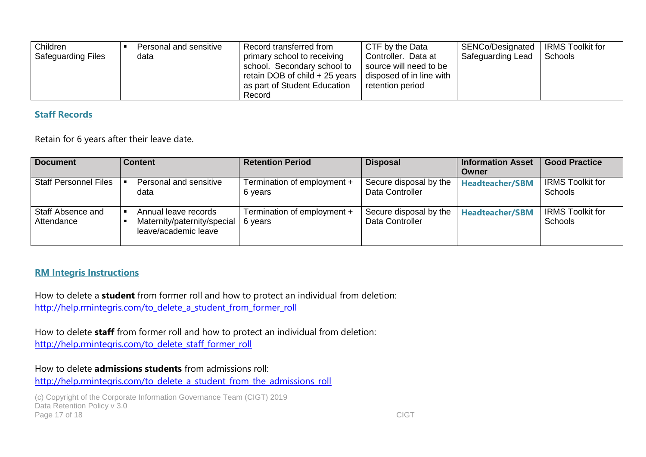| Children<br><b>Safeguarding Files</b> | Personal and sensitive<br>data | Record transferred from<br>primary school to receiving<br>school. Secondary school to<br>retain DOB of child + 25 years 1<br>as part of Student Education<br>Record | CTF by the Data<br>Controller. Data at<br>source will need to be<br>disposed of in line with<br>retention period | SENCo/Designated<br>Safeguarding Lead | <b>IRMS Toolkit for</b><br>Schools |
|---------------------------------------|--------------------------------|---------------------------------------------------------------------------------------------------------------------------------------------------------------------|------------------------------------------------------------------------------------------------------------------|---------------------------------------|------------------------------------|
|---------------------------------------|--------------------------------|---------------------------------------------------------------------------------------------------------------------------------------------------------------------|------------------------------------------------------------------------------------------------------------------|---------------------------------------|------------------------------------|

#### **Staff Records**

Retain for 6 years after their leave date.

| <b>Document</b>                 | <b>Content</b>                                                              | <b>Retention Period</b>                | <b>Disposal</b>                           | <b>Information Asset</b> | <b>Good Practice</b>                      |
|---------------------------------|-----------------------------------------------------------------------------|----------------------------------------|-------------------------------------------|--------------------------|-------------------------------------------|
|                                 |                                                                             |                                        |                                           | Owner                    |                                           |
| <b>Staff Personnel Files</b>    | Personal and sensitive<br>data                                              | Termination of employment +<br>6 years | Secure disposal by the<br>Data Controller | <b>Headteacher/SBM</b>   | <b>IRMS Toolkit for</b><br><b>Schools</b> |
| Staff Absence and<br>Attendance | Annual leave records<br>Maternity/paternity/special<br>leave/academic leave | Termination of employment +<br>6 years | Secure disposal by the<br>Data Controller | <b>Headteacher/SBM</b>   | <b>IRMS Toolkit for</b><br><b>Schools</b> |

#### **RM Integris Instructions**

How to delete a **student** from former roll and how to protect an individual from deletion: [http://help.rmintegris.com/to\\_delete\\_a\\_student\\_from\\_former\\_roll](http://help.rmintegris.com/to_delete_a_student_from_former_roll)

How to delete **staff** from former roll and how to protect an individual from deletion: [http://help.rmintegris.com/to\\_delete\\_staff\\_former\\_roll](http://help.rmintegris.com/to_delete_staff_former_roll)

How to delete **admissions students** from admissions roll:

[http://help.rmintegris.com/to\\_delete\\_a\\_student\\_from\\_the\\_admissions\\_roll](http://help.rmintegris.com/to_delete_a_student_from_the_admissions_roll)

(c) Copyright of the Corporate Information Governance Team (CIGT) 2019 Data Retention Policy v 3.0 Page 17 of 18 CIGT